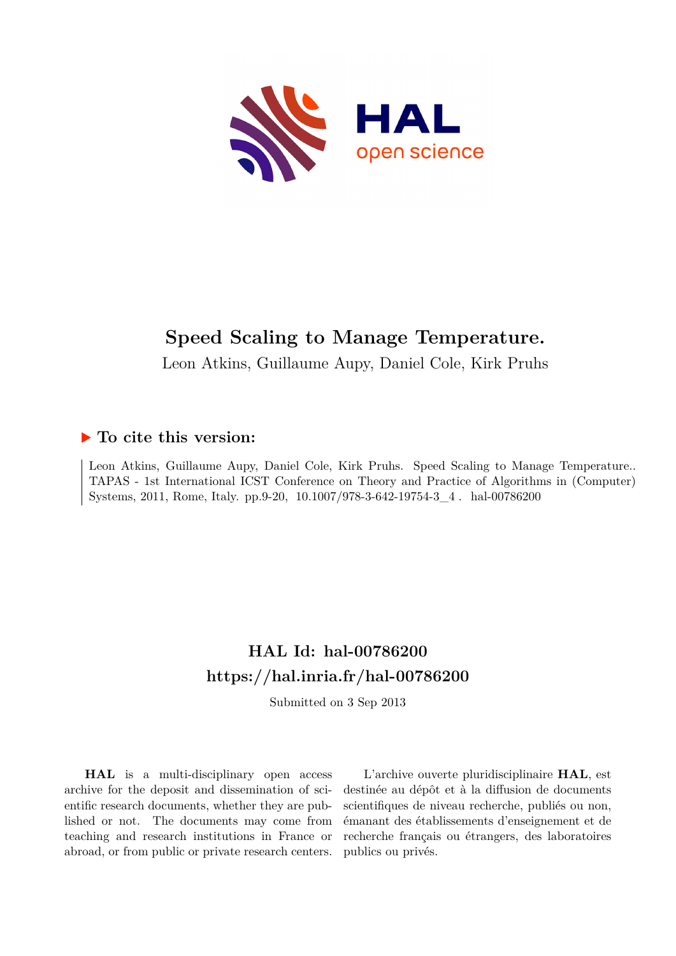

# **Speed Scaling to Manage Temperature.**

Leon Atkins, Guillaume Aupy, Daniel Cole, Kirk Pruhs

# **To cite this version:**

Leon Atkins, Guillaume Aupy, Daniel Cole, Kirk Pruhs. Speed Scaling to Manage Temperature.. TAPAS - 1st International ICST Conference on Theory and Practice of Algorithms in (Computer) Systems, 2011, Rome, Italy. pp.9-20, 10.1007/978-3-642-19754-3\_4. hal-00786200

# **HAL Id: hal-00786200 <https://hal.inria.fr/hal-00786200>**

Submitted on 3 Sep 2013

**HAL** is a multi-disciplinary open access archive for the deposit and dissemination of scientific research documents, whether they are published or not. The documents may come from teaching and research institutions in France or abroad, or from public or private research centers.

L'archive ouverte pluridisciplinaire **HAL**, est destinée au dépôt et à la diffusion de documents scientifiques de niveau recherche, publiés ou non, émanant des établissements d'enseignement et de recherche français ou étrangers, des laboratoires publics ou privés.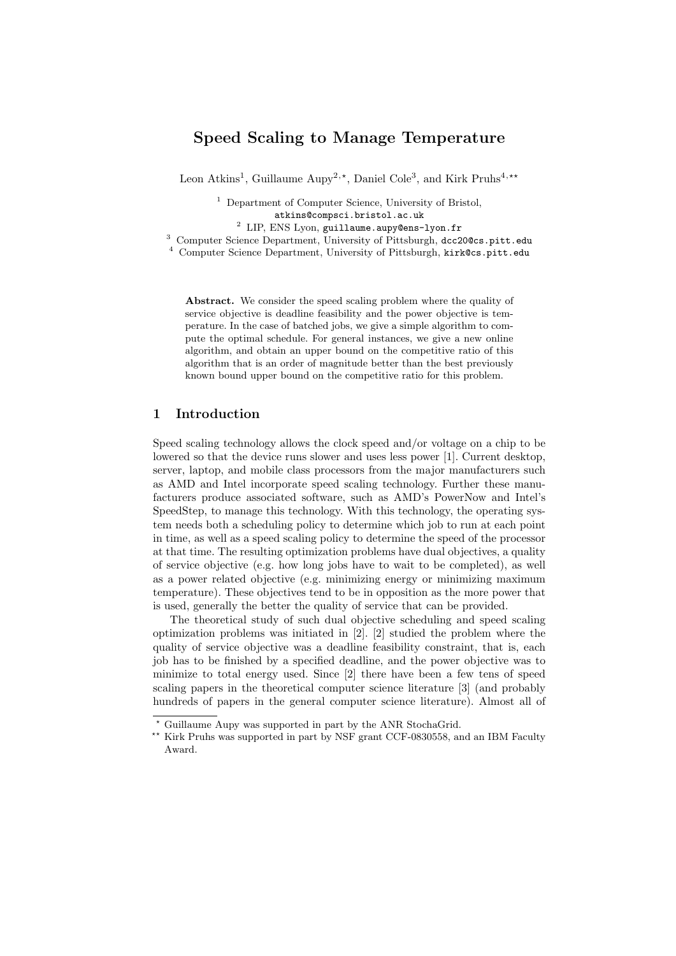# Speed Scaling to Manage Temperature

Leon Atkins<sup>1</sup>, Guillaume Aupy<sup>2,\*</sup>, Daniel Cole<sup>3</sup>, and Kirk Pruhs<sup>4,\*\*</sup>

<sup>1</sup> Department of Computer Science, University of Bristol, atkins@compsci.bristol.ac.uk

<sup>2</sup> LIP, ENS Lyon, guillaume.aupy@ens-lyon.fr

<sup>3</sup> Computer Science Department, University of Pittsburgh, dcc20@cs.pitt.edu

<sup>4</sup> Computer Science Department, University of Pittsburgh, kirk@cs.pitt.edu

Abstract. We consider the speed scaling problem where the quality of service objective is deadline feasibility and the power objective is temperature. In the case of batched jobs, we give a simple algorithm to compute the optimal schedule. For general instances, we give a new online algorithm, and obtain an upper bound on the competitive ratio of this algorithm that is an order of magnitude better than the best previously known bound upper bound on the competitive ratio for this problem.

## 1 Introduction

Speed scaling technology allows the clock speed and/or voltage on a chip to be lowered so that the device runs slower and uses less power [1]. Current desktop, server, laptop, and mobile class processors from the major manufacturers such as AMD and Intel incorporate speed scaling technology. Further these manufacturers produce associated software, such as AMD's PowerNow and Intel's SpeedStep, to manage this technology. With this technology, the operating system needs both a scheduling policy to determine which job to run at each point in time, as well as a speed scaling policy to determine the speed of the processor at that time. The resulting optimization problems have dual objectives, a quality of service objective (e.g. how long jobs have to wait to be completed), as well as a power related objective (e.g. minimizing energy or minimizing maximum temperature). These objectives tend to be in opposition as the more power that is used, generally the better the quality of service that can be provided.

The theoretical study of such dual objective scheduling and speed scaling optimization problems was initiated in [2]. [2] studied the problem where the quality of service objective was a deadline feasibility constraint, that is, each job has to be finished by a specified deadline, and the power objective was to minimize to total energy used. Since [2] there have been a few tens of speed scaling papers in the theoretical computer science literature [3] (and probably hundreds of papers in the general computer science literature). Almost all of

<sup>⋆</sup> Guillaume Aupy was supported in part by the ANR StochaGrid.

<sup>\*\*</sup> Kirk Pruhs was supported in part by NSF grant CCF-0830558, and an IBM Faculty Award.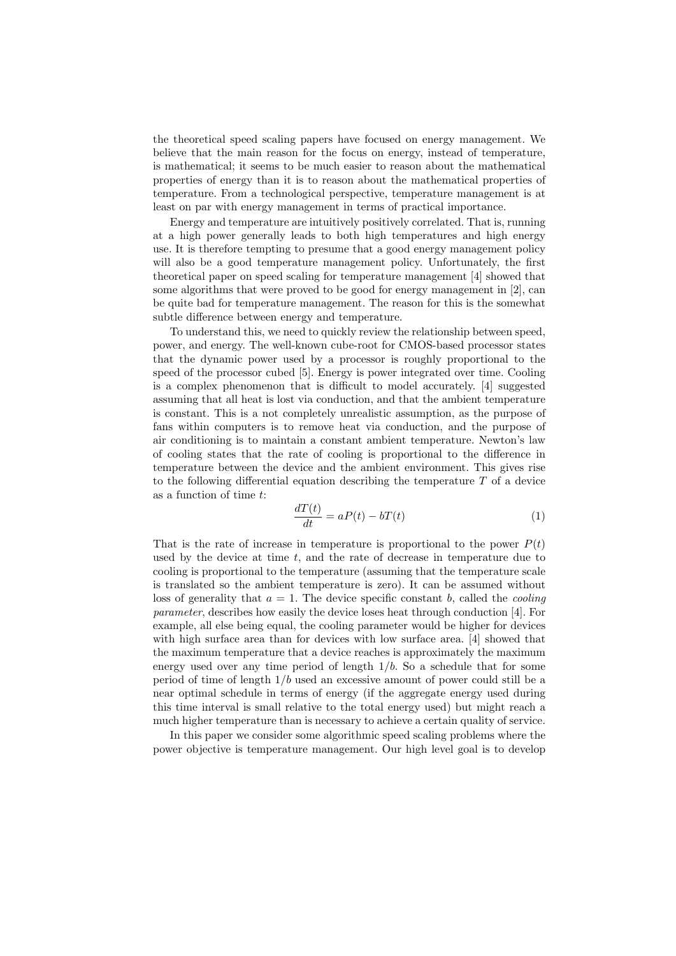the theoretical speed scaling papers have focused on energy management. We believe that the main reason for the focus on energy, instead of temperature, is mathematical; it seems to be much easier to reason about the mathematical properties of energy than it is to reason about the mathematical properties of temperature. From a technological perspective, temperature management is at least on par with energy management in terms of practical importance.

Energy and temperature are intuitively positively correlated. That is, running at a high power generally leads to both high temperatures and high energy use. It is therefore tempting to presume that a good energy management policy will also be a good temperature management policy. Unfortunately, the first theoretical paper on speed scaling for temperature management [4] showed that some algorithms that were proved to be good for energy management in [2], can be quite bad for temperature management. The reason for this is the somewhat subtle difference between energy and temperature.

To understand this, we need to quickly review the relationship between speed, power, and energy. The well-known cube-root for CMOS-based processor states that the dynamic power used by a processor is roughly proportional to the speed of the processor cubed [5]. Energy is power integrated over time. Cooling is a complex phenomenon that is difficult to model accurately. [4] suggested assuming that all heat is lost via conduction, and that the ambient temperature is constant. This is a not completely unrealistic assumption, as the purpose of fans within computers is to remove heat via conduction, and the purpose of air conditioning is to maintain a constant ambient temperature. Newton's law of cooling states that the rate of cooling is proportional to the difference in temperature between the device and the ambient environment. This gives rise to the following differential equation describing the temperature  $T$  of a device as a function of time t:

$$
\frac{dT(t)}{dt} = aP(t) - bT(t) \tag{1}
$$

That is the rate of increase in temperature is proportional to the power  $P(t)$ used by the device at time  $t$ , and the rate of decrease in temperature due to cooling is proportional to the temperature (assuming that the temperature scale is translated so the ambient temperature is zero). It can be assumed without loss of generality that  $a = 1$ . The device specific constant b, called the *cooling* parameter, describes how easily the device loses heat through conduction [4]. For example, all else being equal, the cooling parameter would be higher for devices with high surface area than for devices with low surface area. [4] showed that the maximum temperature that a device reaches is approximately the maximum energy used over any time period of length  $1/b$ . So a schedule that for some period of time of length  $1/b$  used an excessive amount of power could still be a near optimal schedule in terms of energy (if the aggregate energy used during this time interval is small relative to the total energy used) but might reach a much higher temperature than is necessary to achieve a certain quality of service.

In this paper we consider some algorithmic speed scaling problems where the power objective is temperature management. Our high level goal is to develop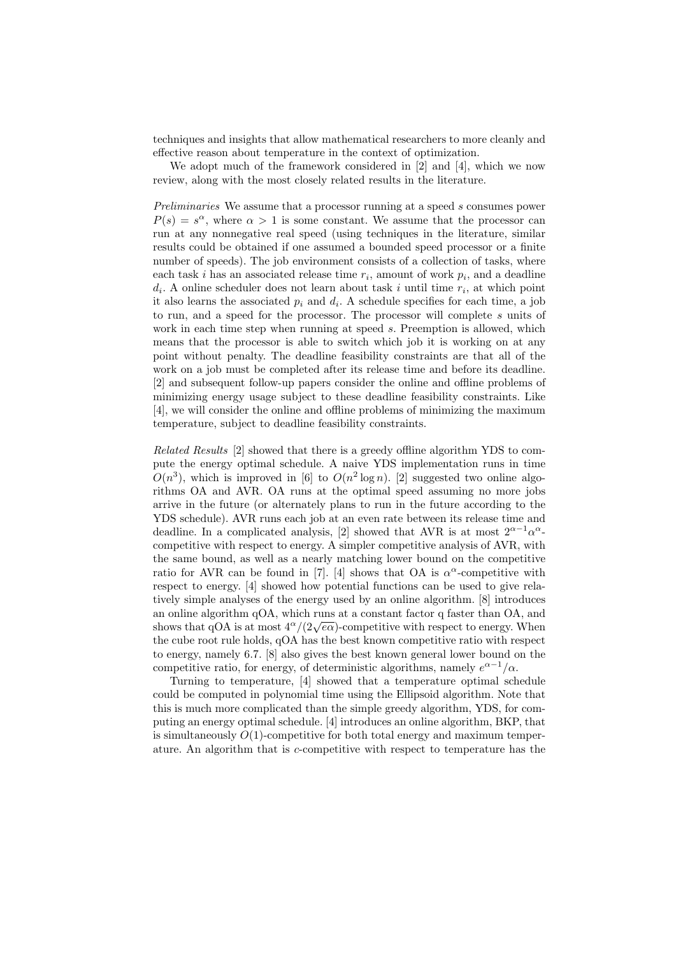techniques and insights that allow mathematical researchers to more cleanly and effective reason about temperature in the context of optimization.

We adopt much of the framework considered in [2] and [4], which we now review, along with the most closely related results in the literature.

Preliminaries We assume that a processor running at a speed s consumes power  $P(s) = s^{\alpha}$ , where  $\alpha > 1$  is some constant. We assume that the processor can run at any nonnegative real speed (using techniques in the literature, similar results could be obtained if one assumed a bounded speed processor or a finite number of speeds). The job environment consists of a collection of tasks, where each task *i* has an associated release time  $r_i$ , amount of work  $p_i$ , and a deadline  $d_i$ . A online scheduler does not learn about task i until time  $r_i$ , at which point it also learns the associated  $p_i$  and  $d_i$ . A schedule specifies for each time, a job to run, and a speed for the processor. The processor will complete s units of work in each time step when running at speed s. Preemption is allowed, which means that the processor is able to switch which job it is working on at any point without penalty. The deadline feasibility constraints are that all of the work on a job must be completed after its release time and before its deadline. [2] and subsequent follow-up papers consider the online and offline problems of minimizing energy usage subject to these deadline feasibility constraints. Like [4], we will consider the online and offline problems of minimizing the maximum temperature, subject to deadline feasibility constraints.

Related Results [2] showed that there is a greedy offline algorithm YDS to compute the energy optimal schedule. A naive YDS implementation runs in time  $O(n^3)$ , which is improved in [6] to  $O(n^2 \log n)$ . [2] suggested two online algorithms OA and AVR. OA runs at the optimal speed assuming no more jobs arrive in the future (or alternately plans to run in the future according to the YDS schedule). AVR runs each job at an even rate between its release time and deadline. In a complicated analysis, [2] showed that AVR is at most  $2^{\alpha-1}\alpha^{\alpha}$ . competitive with respect to energy. A simpler competitive analysis of AVR, with the same bound, as well as a nearly matching lower bound on the competitive ratio for AVR can be found in [7]. [4] shows that OA is  $\alpha^{\alpha}$ -competitive with respect to energy. [4] showed how potential functions can be used to give relatively simple analyses of the energy used by an online algorithm. [8] introduces an online algorithm qOA, which runs at a constant factor q faster than OA, and shows that qOA is at most  $4^{\alpha}/(2\sqrt{e\alpha})$ -competitive with respect to energy. When the cube root rule holds, qOA has the best known competitive ratio with respect to energy, namely 6.7. [8] also gives the best known general lower bound on the competitive ratio, for energy, of deterministic algorithms, namely  $e^{\alpha-1}/\alpha$ .

Turning to temperature, [4] showed that a temperature optimal schedule could be computed in polynomial time using the Ellipsoid algorithm. Note that this is much more complicated than the simple greedy algorithm, YDS, for computing an energy optimal schedule. [4] introduces an online algorithm, BKP, that is simultaneously  $O(1)$ -competitive for both total energy and maximum temperature. An algorithm that is c-competitive with respect to temperature has the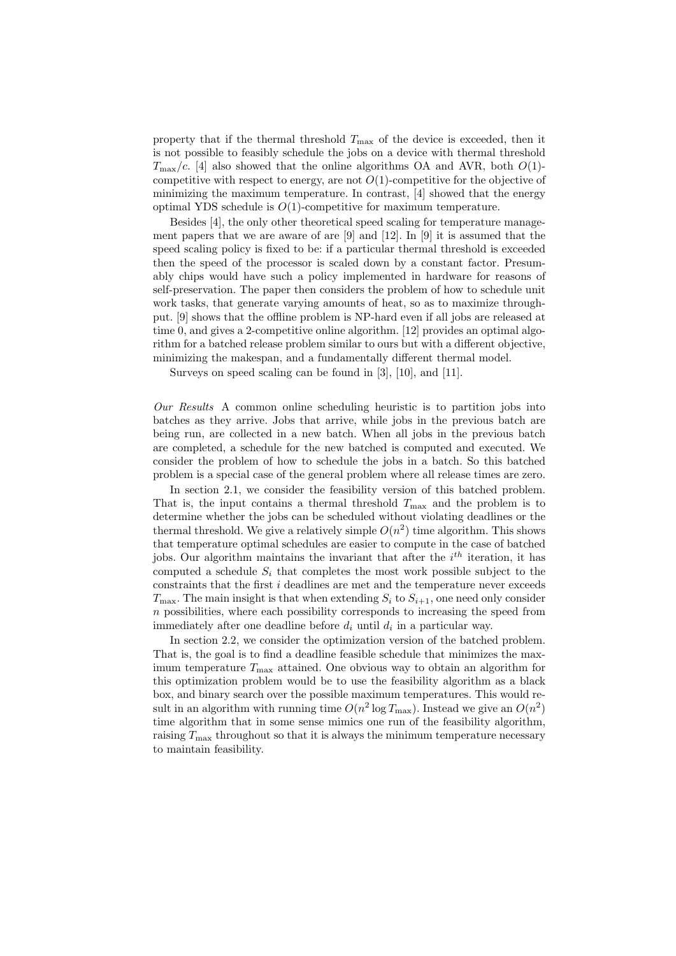property that if the thermal threshold  $T_{\text{max}}$  of the device is exceeded, then it is not possible to feasibly schedule the jobs on a device with thermal threshold  $T_{\text{max}}/c$ . [4] also showed that the online algorithms OA and AVR, both  $O(1)$ competitive with respect to energy, are not  $O(1)$ -competitive for the objective of minimizing the maximum temperature. In contrast, [4] showed that the energy optimal YDS schedule is  $O(1)$ -competitive for maximum temperature.

Besides [4], the only other theoretical speed scaling for temperature management papers that we are aware of are [9] and [12]. In [9] it is assumed that the speed scaling policy is fixed to be: if a particular thermal threshold is exceeded then the speed of the processor is scaled down by a constant factor. Presumably chips would have such a policy implemented in hardware for reasons of self-preservation. The paper then considers the problem of how to schedule unit work tasks, that generate varying amounts of heat, so as to maximize throughput. [9] shows that the offline problem is NP-hard even if all jobs are released at time 0, and gives a 2-competitive online algorithm. [12] provides an optimal algorithm for a batched release problem similar to ours but with a different objective, minimizing the makespan, and a fundamentally different thermal model.

Surveys on speed scaling can be found in [3], [10], and [11].

Our Results A common online scheduling heuristic is to partition jobs into batches as they arrive. Jobs that arrive, while jobs in the previous batch are being run, are collected in a new batch. When all jobs in the previous batch are completed, a schedule for the new batched is computed and executed. We consider the problem of how to schedule the jobs in a batch. So this batched problem is a special case of the general problem where all release times are zero.

In section 2.1, we consider the feasibility version of this batched problem. That is, the input contains a thermal threshold  $T_{\text{max}}$  and the problem is to determine whether the jobs can be scheduled without violating deadlines or the thermal threshold. We give a relatively simple  $O(n^2)$  time algorithm. This shows that temperature optimal schedules are easier to compute in the case of batched jobs. Our algorithm maintains the invariant that after the  $i<sup>th</sup>$  iteration, it has computed a schedule  $S_i$  that completes the most work possible subject to the constraints that the first i deadlines are met and the temperature never exceeds  $T_{\text{max}}$ . The main insight is that when extending  $S_i$  to  $S_{i+1}$ , one need only consider  $n$  possibilities, where each possibility corresponds to increasing the speed from immediately after one deadline before  $d_i$  until  $d_i$  in a particular way.

In section 2.2, we consider the optimization version of the batched problem. That is, the goal is to find a deadline feasible schedule that minimizes the maximum temperature  $T_{\text{max}}$  attained. One obvious way to obtain an algorithm for this optimization problem would be to use the feasibility algorithm as a black box, and binary search over the possible maximum temperatures. This would result in an algorithm with running time  $O(n^2 \log T_{\max})$ . Instead we give an  $O(n^2)$ time algorithm that in some sense mimics one run of the feasibility algorithm, raising  $T_{\text{max}}$  throughout so that it is always the minimum temperature necessary to maintain feasibility.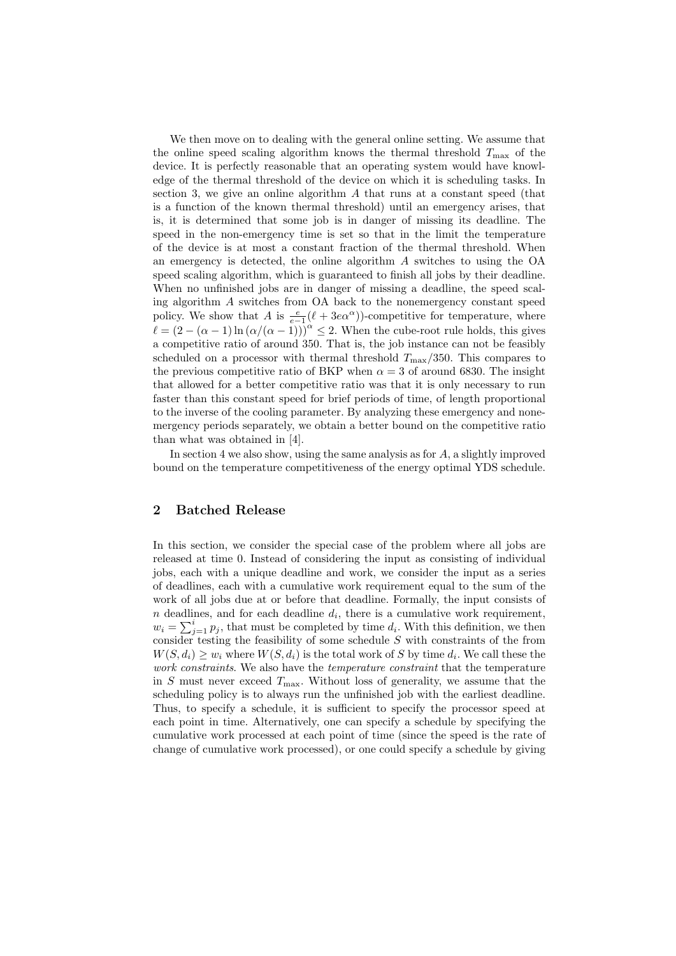We then move on to dealing with the general online setting. We assume that the online speed scaling algorithm knows the thermal threshold  $T_{\text{max}}$  of the device. It is perfectly reasonable that an operating system would have knowledge of the thermal threshold of the device on which it is scheduling tasks. In section 3, we give an online algorithm  $\tilde{A}$  that runs at a constant speed (that is a function of the known thermal threshold) until an emergency arises, that is, it is determined that some job is in danger of missing its deadline. The speed in the non-emergency time is set so that in the limit the temperature of the device is at most a constant fraction of the thermal threshold. When an emergency is detected, the online algorithm A switches to using the OA speed scaling algorithm, which is guaranteed to finish all jobs by their deadline. When no unfinished jobs are in danger of missing a deadline, the speed scaling algorithm A switches from OA back to the nonemergency constant speed policy. We show that A is  $\frac{e}{e-1}(\ell + 3e\alpha^{\alpha})$ -competitive for temperature, where  $\ell = (2 - (\alpha - 1) \ln (\alpha/(\alpha - 1)))^{\alpha} \leq 2$ . When the cube-root rule holds, this gives a competitive ratio of around 350. That is, the job instance can not be feasibly scheduled on a processor with thermal threshold  $T_{\text{max}}/350$ . This compares to the previous competitive ratio of BKP when  $\alpha = 3$  of around 6830. The insight that allowed for a better competitive ratio was that it is only necessary to run faster than this constant speed for brief periods of time, of length proportional to the inverse of the cooling parameter. By analyzing these emergency and nonemergency periods separately, we obtain a better bound on the competitive ratio than what was obtained in [4].

In section 4 we also show, using the same analysis as for A, a slightly improved bound on the temperature competitiveness of the energy optimal YDS schedule.

# 2 Batched Release

In this section, we consider the special case of the problem where all jobs are released at time 0. Instead of considering the input as consisting of individual jobs, each with a unique deadline and work, we consider the input as a series of deadlines, each with a cumulative work requirement equal to the sum of the work of all jobs due at or before that deadline. Formally, the input consists of  $n$  deadlines, and for each deadline  $d_i$ , there is a cumulative work requirement,  $w_i = \sum_{j=1}^i p_j$ , that must be completed by time  $d_i$ . With this definition, we then consider testing the feasibility of some schedule  $S$  with constraints of the from  $W(S, d_i) \geq w_i$  where  $W(S, d_i)$  is the total work of S by time  $d_i$ . We call these the work constraints. We also have the *temperature constraint* that the temperature in S must never exceed  $T_{\text{max}}$ . Without loss of generality, we assume that the scheduling policy is to always run the unfinished job with the earliest deadline. Thus, to specify a schedule, it is sufficient to specify the processor speed at each point in time. Alternatively, one can specify a schedule by specifying the cumulative work processed at each point of time (since the speed is the rate of change of cumulative work processed), or one could specify a schedule by giving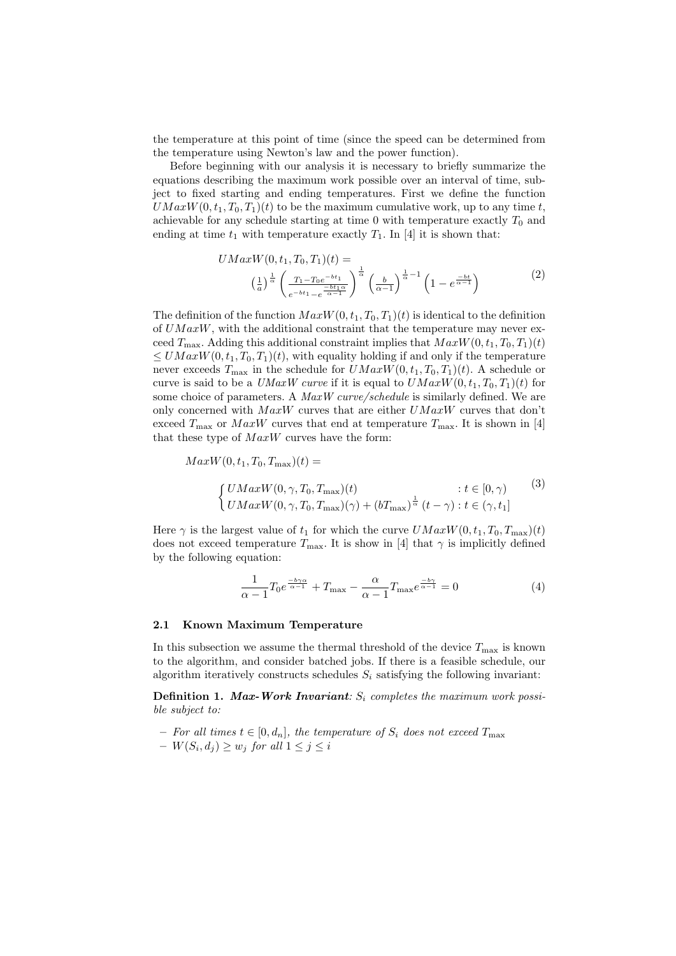the temperature at this point of time (since the speed can be determined from the temperature using Newton's law and the power function).

Before beginning with our analysis it is necessary to briefly summarize the equations describing the maximum work possible over an interval of time, subject to fixed starting and ending temperatures. First we define the function  $UMaxW(0, t_1, T_0, T_1)(t)$  to be the maximum cumulative work, up to any time t, achievable for any schedule starting at time  $0$  with temperature exactly  $T_0$  and ending at time  $t_1$  with temperature exactly  $T_1$ . In [4] it is shown that:

$$
UMaxW(0, t_1, T_0, T_1)(t) =
$$
  

$$
\left(\frac{1}{a}\right)^{\frac{1}{\alpha}} \left(\frac{T_1 - T_0 e^{-bt_1}}{e^{-bt_1} - e^{-\frac{bt_1\alpha}{\alpha - 1}}}\right)^{\frac{1}{\alpha}} \left(\frac{b}{\alpha - 1}\right)^{\frac{1}{\alpha} - 1} \left(1 - e^{\frac{-bt}{\alpha - 1}}\right)
$$
 (2)

The definition of the function  $MaxW(0, t_1, T_0, T_1)(t)$  is identical to the definition of  $UMaxW$ , with the additional constraint that the temperature may never exceed  $T_{\text{max}}$ . Adding this additional constraint implies that  $MaxW(0, t_1, T_0, T_1)(t)$  $\leq UMaxW(0, t_1, T_0, T_1)(t)$ , with equality holding if and only if the temperature never exceeds  $T_{\text{max}}$  in the schedule for  $UMaxW(0, t_1, T_0, T_1)(t)$ . A schedule or curve is said to be a UMaxW curve if it is equal to  $UMaxW(0, t_1, T_0, T_1)(t)$  for some choice of parameters. A MaxW curve/schedule is similarly defined. We are only concerned with  $MaxW$  curves that are either  $UMaxW$  curves that don't exceed  $T_{\text{max}}$  or  $MaxW$  curves that end at temperature  $T_{\text{max}}$ . It is shown in [4] that these type of  $MaxW$  curves have the form:

$$
MaxW(0, t_1, T_0, T_{\text{max}})(t) =
$$
  

$$
\begin{cases} UMaxW(0, \gamma, T_0, T_{\text{max}})(t) & : t \in [0, \gamma) \\ UMaxW(0, \gamma, T_0, T_{\text{max}})(\gamma) + (bT_{\text{max}})^{\frac{1}{\alpha}} (t - \gamma) : t \in (\gamma, t_1] \end{cases}
$$

$$
(3)
$$

Here  $\gamma$  is the largest value of  $t_1$  for which the curve  $UMaxW(0, t_1, T_0, T_{\text{max}})(t)$ does not exceed temperature  $T_{\text{max}}$ . It is show in [4] that  $\gamma$  is implicitly defined by the following equation:

$$
\frac{1}{\alpha - 1} T_0 e^{\frac{-b\gamma\alpha}{\alpha - 1}} + T_{\text{max}} - \frac{\alpha}{\alpha - 1} T_{\text{max}} e^{\frac{-b\gamma}{\alpha - 1}} = 0 \tag{4}
$$

#### 2.1 Known Maximum Temperature

In this subsection we assume the thermal threshold of the device  $T_{\text{max}}$  is known to the algorithm, and consider batched jobs. If there is a feasible schedule, our algorithm iteratively constructs schedules  $S_i$  satisfying the following invariant:

**Definition 1. Max-Work Invariant:**  $S_i$  completes the maximum work possible subject to:

- − For all times  $t \in [0, d_n]$ , the temperature of  $S_i$  does not exceed  $T_{\text{max}}$
- $W(S_i, d_j) \geq w_j \text{ for all } 1 \leq j \leq i$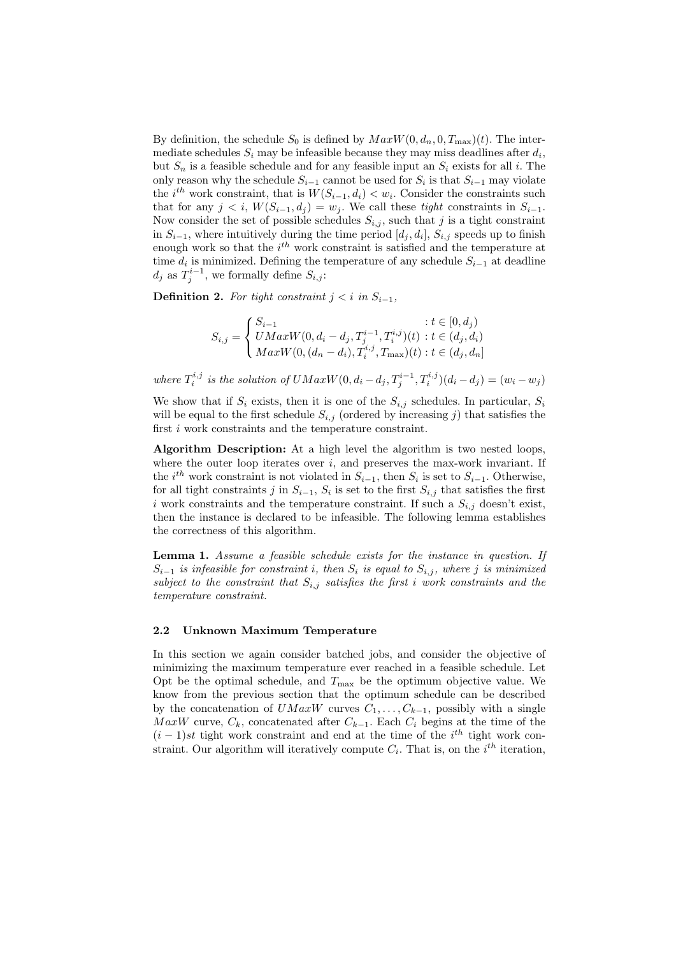By definition, the schedule  $S_0$  is defined by  $MaxW(0, d_n, 0, T_{\text{max}})(t)$ . The intermediate schedules  $S_i$  may be infeasible because they may miss deadlines after  $d_i$ , but  $S_n$  is a feasible schedule and for any feasible input an  $S_i$  exists for all i. The only reason why the schedule  $S_{i-1}$  cannot be used for  $S_i$  is that  $S_{i-1}$  may violate the  $i^{th}$  work constraint, that is  $W(S_{i-1}, d_i) < w_i$ . Consider the constraints such that for any  $j < i$ ,  $W(S_{i-1}, d_j) = w_j$ . We call these tight constraints in  $S_{i-1}$ . Now consider the set of possible schedules  $S_{i,j}$ , such that j is a tight constraint in  $S_{i-1}$ , where intuitively during the time period  $[d_j, d_i]$ ,  $S_{i,j}$  speeds up to finish enough work so that the  $i<sup>th</sup>$  work constraint is satisfied and the temperature at time  $d_i$  is minimized. Defining the temperature of any schedule  $S_{i-1}$  at deadline  $d_j$  as  $T_j^{i-1}$ , we formally define  $S_{i,j}$ :

Definition 2. For tight constraint  $j < i$  in  $S_{i-1}$ ,

$$
S_{i,j} = \begin{cases} S_{i-1} & : t \in [0, d_j) \\ UMaxW(0, d_i - d_j, T_j^{i-1}, T_i^{i,j})(t) : t \in (d_j, d_i) \\ MaxW(0, (d_n - d_i), T_i^{i,j}, T_{\text{max}})(t) : t \in (d_j, d_n] \end{cases}
$$

where  $T_i^{i,j}$  is the solution of  $UMaxW(0, d_i - d_j, T_j^{i-1}, T_i^{i,j})(d_i - d_j) = (w_i - w_j)$ 

We show that if  $S_i$  exists, then it is one of the  $S_{i,j}$  schedules. In particular,  $S_i$ will be equal to the first schedule  $S_{i,j}$  (ordered by increasing j) that satisfies the first *i* work constraints and the temperature constraint.

Algorithm Description: At a high level the algorithm is two nested loops, where the outer loop iterates over  $i$ , and preserves the max-work invariant. If the  $i^{th}$  work constraint is not violated in  $S_{i-1}$ , then  $S_i$  is set to  $S_{i-1}$ . Otherwise, for all tight constraints j in  $S_{i-1}$ ,  $S_i$  is set to the first  $S_{i,j}$  that satisfies the first i work constraints and the temperature constraint. If such a  $S_{i,j}$  doesn't exist, then the instance is declared to be infeasible. The following lemma establishes the correctness of this algorithm.

Lemma 1. Assume a feasible schedule exists for the instance in question. If  $S_{i-1}$  is infeasible for constraint i, then  $S_i$  is equal to  $S_{i,j}$ , where j is minimized subject to the constraint that  $S_{i,j}$  satisfies the first i work constraints and the temperature constraint.

#### 2.2 Unknown Maximum Temperature

In this section we again consider batched jobs, and consider the objective of minimizing the maximum temperature ever reached in a feasible schedule. Let Opt be the optimal schedule, and  $T_{\text{max}}$  be the optimum objective value. We know from the previous section that the optimum schedule can be described by the concatenation of  $UMaxW$  curves  $C_1, \ldots, C_{k-1}$ , possibly with a single MaxW curve,  $C_k$ , concatenated after  $C_{k-1}$ . Each  $C_i$  begins at the time of the  $(i-1)$ st tight work constraint and end at the time of the  $i^{th}$  tight work constraint. Our algorithm will iteratively compute  $C_i$ . That is, on the  $i^{th}$  iteration,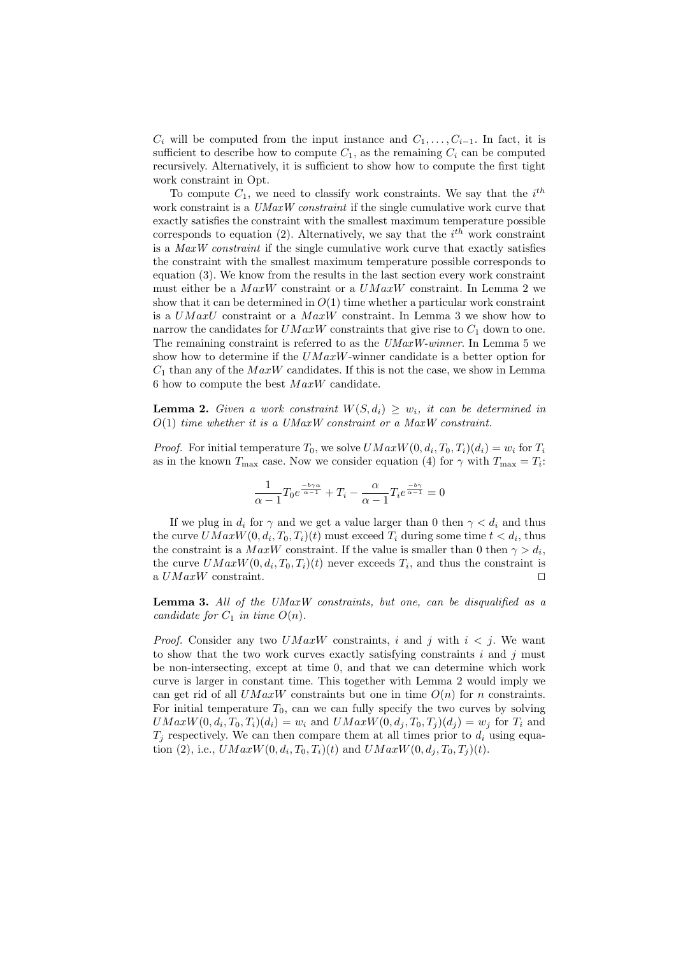$C_i$  will be computed from the input instance and  $C_1, \ldots, C_{i-1}$ . In fact, it is sufficient to describe how to compute  $C_1$ , as the remaining  $C_i$  can be computed recursively. Alternatively, it is sufficient to show how to compute the first tight work constraint in Opt.

To compute  $C_1$ , we need to classify work constraints. We say that the  $i^{th}$ work constraint is a UMaxW constraint if the single cumulative work curve that exactly satisfies the constraint with the smallest maximum temperature possible corresponds to equation (2). Alternatively, we say that the  $i^{th}$  work constraint is a MaxW constraint if the single cumulative work curve that exactly satisfies the constraint with the smallest maximum temperature possible corresponds to equation (3). We know from the results in the last section every work constraint must either be a  $MaxW$  constraint or a  $UMaxW$  constraint. In Lemma 2 we show that it can be determined in  $O(1)$  time whether a particular work constraint is a  $UMaxU$  constraint or a  $MaxW$  constraint. In Lemma 3 we show how to narrow the candidates for  $UMaxW$  constraints that give rise to  $C_1$  down to one. The remaining constraint is referred to as the  $UMaxW-winner$ . In Lemma 5 we show how to determine if the  $UMaxW$ -winner candidate is a better option for  $C_1$  than any of the  $MaxW$  candidates. If this is not the case, we show in Lemma 6 how to compute the best  $MaxW$  candidate.

**Lemma 2.** Given a work constraint  $W(S, d_i) \geq w_i$ , it can be determined in  $O(1)$  time whether it is a UMaxW constraint or a MaxW constraint.

*Proof.* For initial temperature  $T_0$ , we solve  $UMaxW(0, d_i, T_0, T_i)(d_i) = w_i$  for  $T_i$ as in the known  $T_{\text{max}}$  case. Now we consider equation (4) for  $\gamma$  with  $T_{\text{max}} = T_i$ :

$$
\frac{1}{\alpha - 1} T_0 e^{\frac{-b\gamma\alpha}{\alpha - 1}} + T_i - \frac{\alpha}{\alpha - 1} T_i e^{\frac{-b\gamma}{\alpha - 1}} = 0
$$

If we plug in  $d_i$  for  $\gamma$  and we get a value larger than 0 then  $\gamma < d_i$  and thus the curve  $UMaxW(0, d_i, T_0, T_i)(t)$  must exceed  $T_i$  during some time  $t < d_i$ , thus the constraint is a  $MaxW$  constraint. If the value is smaller than 0 then  $\gamma > d_i$ , the curve  $UMaxW(0, d_i, T_0, T_i)(t)$  never exceeds  $T_i$ , and thus the constraint is a  $UMaxW$  constraint.  $□$ 

Lemma 3. All of the UMaxW constraints, but one, can be disqualified as a candidate for  $C_1$  in time  $O(n)$ .

*Proof.* Consider any two  $UMaxW$  constraints, i and j with  $i < j$ . We want to show that the two work curves exactly satisfying constraints  $i$  and  $j$  must be non-intersecting, except at time 0, and that we can determine which work curve is larger in constant time. This together with Lemma 2 would imply we can get rid of all  $UMaxW$  constraints but one in time  $O(n)$  for n constraints. For initial temperature  $T_0$ , can we can fully specify the two curves by solving  $UMaxW(0, d_i, T_0, T_i)(d_i) = w_i$  and  $UMaxW(0, d_j, T_0, T_j)(d_j) = w_j$  for  $T_i$  and  $T_i$  respectively. We can then compare them at all times prior to  $d_i$  using equation (2), i.e.,  $UMaxW(0, d_i, T_0, T_i)(t)$  and  $UMaxW(0, d_j, T_0, T_j)(t)$ .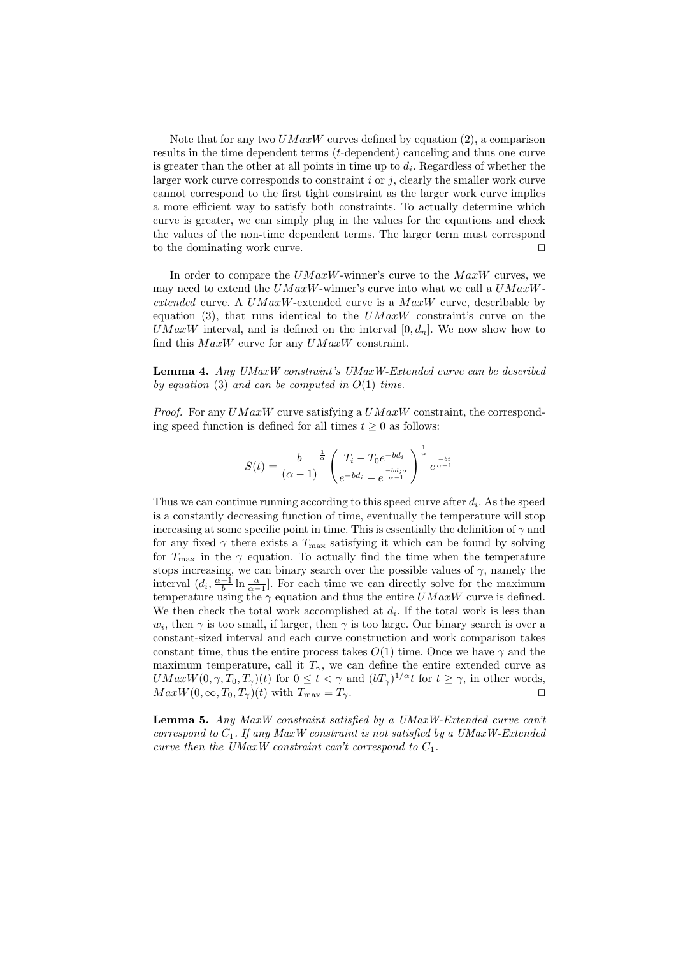Note that for any two  $UMaxW$  curves defined by equation (2), a comparison results in the time dependent terms (t-dependent) canceling and thus one curve is greater than the other at all points in time up to  $d_i$ . Regardless of whether the larger work curve corresponds to constraint  $i$  or  $j$ , clearly the smaller work curve cannot correspond to the first tight constraint as the larger work curve implies a more efficient way to satisfy both constraints. To actually determine which curve is greater, we can simply plug in the values for the equations and check the values of the non-time dependent terms. The larger term must correspond to the dominating work curve. ⊓⊔

In order to compare the  $UMaxW$ -winner's curve to the  $MaxW$  curves, we may need to extend the  $UMaxW$ -winner's curve into what we call a  $UMaxW$ extended curve. A  $UMaxW$ -extended curve is a  $MaxW$  curve, describable by equation (3), that runs identical to the  $UMaxW$  constraint's curve on the  $UMaxW$  interval, and is defined on the interval  $[0, d_n]$ . We now show how to find this  $MaxW$  curve for any  $UMaxW$  constraint.

Lemma 4. Any UMaxW constraint's UMaxW-Extended curve can be described by equation (3) and can be computed in  $O(1)$  time.

*Proof.* For any  $UMaxW$  curve satisfying a  $UMaxW$  constraint, the corresponding speed function is defined for all times  $t \geq 0$  as follows:

$$
S(t) = \frac{b}{(\alpha - 1)}^{\frac{1}{\alpha}} \left( \frac{T_i - T_0 e^{-b d_i}}{e^{-b d_i} - e^{\frac{-b d_i \alpha}{\alpha - 1}}} \right)^{\frac{1}{\alpha}} e^{\frac{-b t}{\alpha - 1}}
$$

Thus we can continue running according to this speed curve after  $d_i$ . As the speed is a constantly decreasing function of time, eventually the temperature will stop increasing at some specific point in time. This is essentially the definition of  $\gamma$  and for any fixed  $\gamma$  there exists a  $T_{\text{max}}$  satisfying it which can be found by solving for  $T_{\text{max}}$  in the  $\gamma$  equation. To actually find the time when the temperature stops increasing, we can binary search over the possible values of  $\gamma$ , namely the interval  $(d_i, \frac{\alpha-1}{b} \ln \frac{\alpha}{\alpha-1}]$ . For each time we can directly solve for the maximum temperature using the  $\gamma$  equation and thus the entire  $UMaxW$  curve is defined. We then check the total work accomplished at  $d_i$ . If the total work is less than  $w_i$ , then  $\gamma$  is too small, if larger, then  $\gamma$  is too large. Our binary search is over a constant-sized interval and each curve construction and work comparison takes constant time, thus the entire process takes  $O(1)$  time. Once we have  $\gamma$  and the maximum temperature, call it  $T_{\gamma}$ , we can define the entire extended curve as  $UMaxW(0, \gamma, T_0, T_\gamma)(t)$  for  $0 \le t < \gamma$  and  $(bT_\gamma)^{1/\alpha}t$  for  $t \ge \gamma$ , in other words,  $MaxW(0, \infty, T_0, T_\gamma)(t)$  with  $T_{\text{max}} = T_\gamma$ .

Lemma 5. Any MaxW constraint satisfied by a UMaxW-Extended curve can't correspond to  $C_1$ . If any MaxW constraint is not satisfied by a UMaxW-Extended curve then the UMaxW constraint can't correspond to  $C_1$ .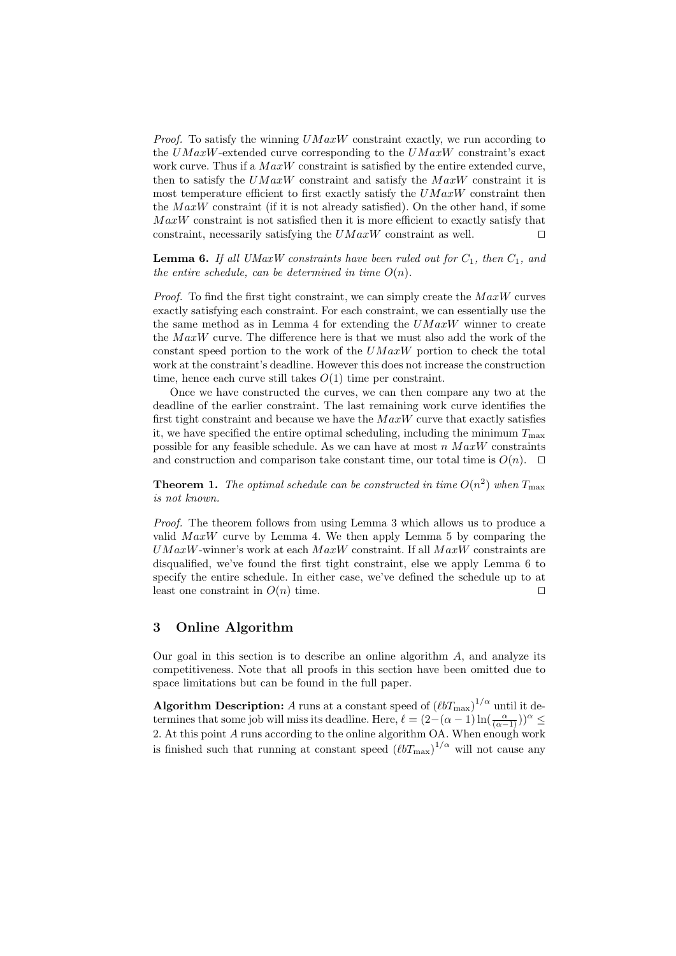*Proof.* To satisfy the winning  $UMaxW$  constraint exactly, we run according to the  $UMaxW$ -extended curve corresponding to the  $UMaxW$  constraint's exact work curve. Thus if a  $MaxW$  constraint is satisfied by the entire extended curve, then to satisfy the  $UMaxW$  constraint and satisfy the  $MaxW$  constraint it is most temperature efficient to first exactly satisfy the  $UMaxW$  constraint then the  $MaxW$  constraint (if it is not already satisfied). On the other hand, if some  $MaxW$  constraint is not satisfied then it is more efficient to exactly satisfy that constraint, necessarily satisfying the  $UMaxW$  constraint as well. □

**Lemma 6.** If all UMaxW constraints have been ruled out for  $C_1$ , then  $C_1$ , and the entire schedule, can be determined in time  $O(n)$ .

*Proof.* To find the first tight constraint, we can simply create the  $MaxW$  curves exactly satisfying each constraint. For each constraint, we can essentially use the the same method as in Lemma 4 for extending the  $UMaxW$  winner to create the  $MaxW$  curve. The difference here is that we must also add the work of the constant speed portion to the work of the  $UMaxW$  portion to check the total work at the constraint's deadline. However this does not increase the construction time, hence each curve still takes  $O(1)$  time per constraint.

Once we have constructed the curves, we can then compare any two at the deadline of the earlier constraint. The last remaining work curve identifies the first tight constraint and because we have the  $MaxW$  curve that exactly satisfies it, we have specified the entire optimal scheduling, including the minimum  $T_{\text{max}}$ possible for any feasible schedule. As we can have at most n  $MaxW$  constraints and construction and comparison take constant time, our total time is  $O(n)$ . □

**Theorem 1.** The optimal schedule can be constructed in time  $O(n^2)$  when  $T_{\text{max}}$ is not known.

Proof. The theorem follows from using Lemma 3 which allows us to produce a valid  $MaxW$  curve by Lemma 4. We then apply Lemma 5 by comparing the  $UMaxW$ -winner's work at each  $MaxW$  constraint. If all  $MaxW$  constraints are disqualified, we've found the first tight constraint, else we apply Lemma 6 to specify the entire schedule. In either case, we've defined the schedule up to at least one constraint in  $O(n)$  time. □

## 3 Online Algorithm

Our goal in this section is to describe an online algorithm  $A$ , and analyze its competitiveness. Note that all proofs in this section have been omitted due to space limitations but can be found in the full paper.

Algorithm Description: A runs at a constant speed of  $\left(\ell b T_{\rm max}\right)^{1/\alpha}$  until it determines that some job will miss its deadline. Here,  $\ell = (2-(\alpha-1)\ln(\frac{\alpha}{(\alpha-1)}))^{\alpha} \le$ 2. At this point A runs according to the online algorithm OA. When enough work is finished such that running at constant speed  $(\ell bT_{\text{max}})^{1/\alpha}$  will not cause any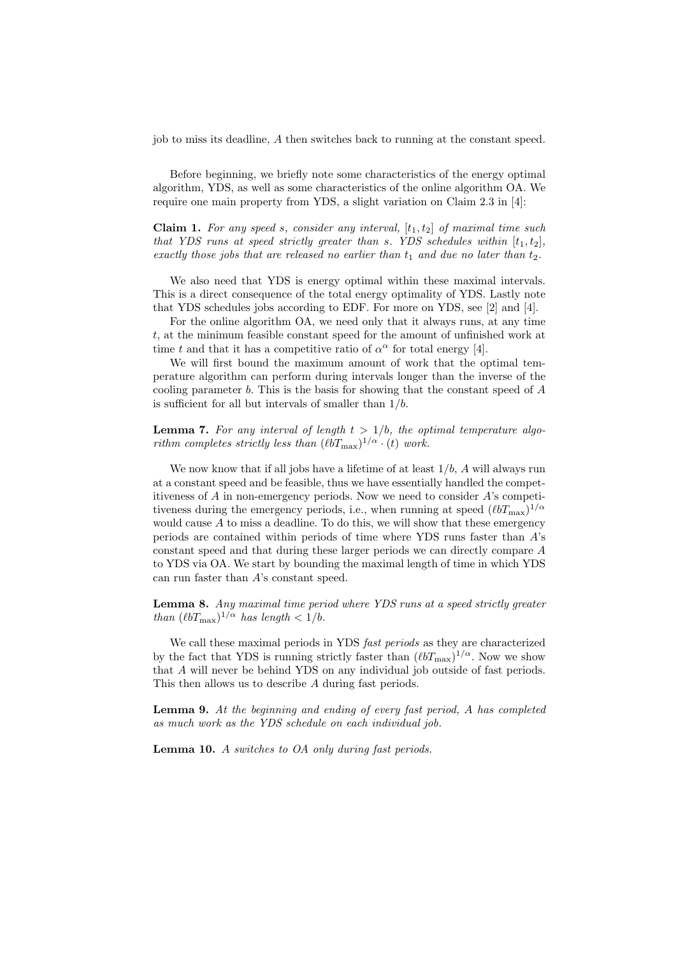job to miss its deadline, A then switches back to running at the constant speed.

Before beginning, we briefly note some characteristics of the energy optimal algorithm, YDS, as well as some characteristics of the online algorithm OA. We require one main property from YDS, a slight variation on Claim 2.3 in [4]:

**Claim 1.** For any speed s, consider any interval,  $[t_1, t_2]$  of maximal time such that YDS runs at speed strictly greater than s. YDS schedules within  $[t_1, t_2]$ , exactly those jobs that are released no earlier than  $t_1$  and due no later than  $t_2$ .

We also need that YDS is energy optimal within these maximal intervals. This is a direct consequence of the total energy optimality of YDS. Lastly note that YDS schedules jobs according to EDF. For more on YDS, see [2] and [4].

For the online algorithm OA, we need only that it always runs, at any time t, at the minimum feasible constant speed for the amount of unfinished work at time t and that it has a competitive ratio of  $\alpha^{\alpha}$  for total energy [4].

We will first bound the maximum amount of work that the optimal temperature algorithm can perform during intervals longer than the inverse of the cooling parameter b. This is the basis for showing that the constant speed of A is sufficient for all but intervals of smaller than  $1/b$ .

**Lemma 7.** For any interval of length  $t > 1/b$ , the optimal temperature algorithm completes strictly less than  $(\ell bT_{\text{max}})^{1/\alpha} \cdot (t)$  work.

We now know that if all jobs have a lifetime of at least  $1/b$ , A will always run at a constant speed and be feasible, thus we have essentially handled the competitiveness of  $A$  in non-emergency periods. Now we need to consider  $A$ 's competitiveness during the emergency periods, i.e., when running at speed  $(\ell b T_{\text{max}})^{1/\alpha}$ would cause  $A$  to miss a deadline. To do this, we will show that these emergency periods are contained within periods of time where YDS runs faster than A's constant speed and that during these larger periods we can directly compare A to YDS via OA. We start by bounding the maximal length of time in which YDS can run faster than A's constant speed.

Lemma 8. Any maximal time period where YDS runs at a speed strictly greater than  $(\ell bT_{\text{max}})^{1/\alpha}$  has length  $< 1/b$ .

We call these maximal periods in YDS *fast periods* as they are characterized by the fact that YDS is running strictly faster than  $(\ell bT_{\text{max}})^{1/\alpha}$ . Now we show that A will never be behind YDS on any individual job outside of fast periods. This then allows us to describe A during fast periods.

Lemma 9. At the beginning and ending of every fast period, A has completed as much work as the YDS schedule on each individual job.

Lemma 10. A switches to OA only during fast periods.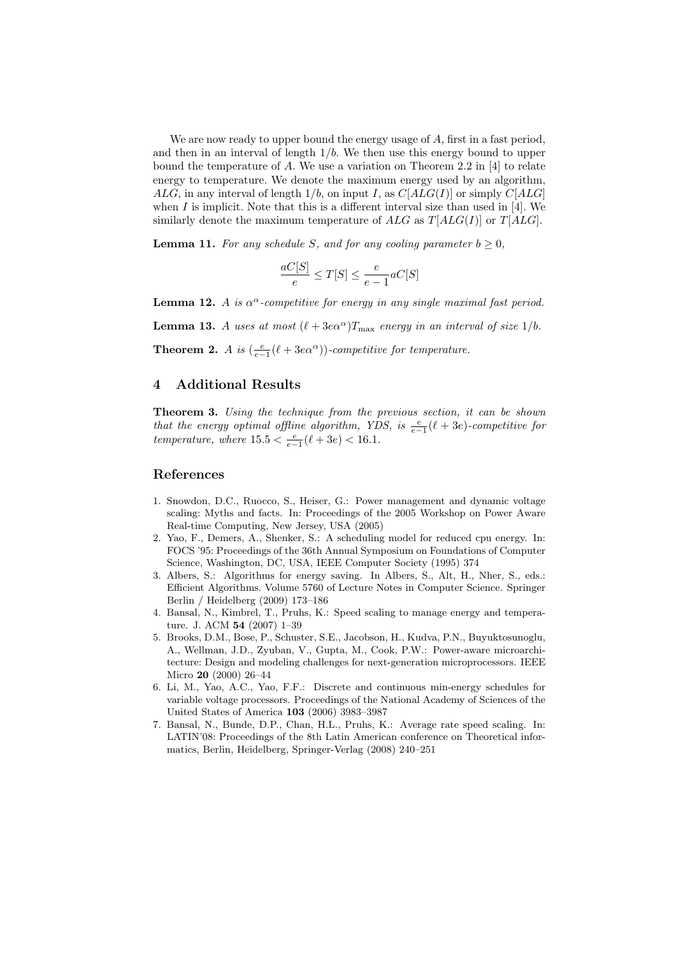We are now ready to upper bound the energy usage of  $A$ , first in a fast period. and then in an interval of length  $1/b$ . We then use this energy bound to upper bound the temperature of A. We use a variation on Theorem 2.2 in [4] to relate energy to temperature. We denote the maximum energy used by an algorithm, ALG, in any interval of length  $1/b$ , on input I, as  $C[ALG(1)]$  or simply  $C[ALG]$ when  $I$  is implicit. Note that this is a different interval size than used in [4]. We similarly denote the maximum temperature of  $ALG$  as  $T[ALG(I)]$  or  $T[ALG]$ .

**Lemma 11.** For any schedule S, and for any cooling parameter  $b \geq 0$ ,

$$
\frac{aC[S]}{e} \le T[S] \le \frac{e}{e-1}aC[S]
$$

**Lemma 12.** A is  $\alpha^{\alpha}$ -competitive for energy in any single maximal fast period.

**Lemma 13.** A uses at most  $(\ell + 3e^{\alpha})T_{\text{max}}$  energy in an interval of size 1/b.

**Theorem 2.** A is  $\left(\frac{e}{e-1}(\ell+3e\alpha^{\alpha})\right)$ -competitive for temperature.

## 4 Additional Results

Theorem 3. Using the technique from the previous section, it can be shown that the energy optimal offline algorithm, YDS, is  $\frac{e}{e-1}(\ell + 3e)$ -competitive for temperature, where  $15.5 < \frac{e}{e-1}(\ell + 3e) < 16.1$ .

### References

- 1. Snowdon, D.C., Ruocco, S., Heiser, G.: Power management and dynamic voltage scaling: Myths and facts. In: Proceedings of the 2005 Workshop on Power Aware Real-time Computing, New Jersey, USA (2005)
- 2. Yao, F., Demers, A., Shenker, S.: A scheduling model for reduced cpu energy. In: FOCS '95: Proceedings of the 36th Annual Symposium on Foundations of Computer Science, Washington, DC, USA, IEEE Computer Society (1995) 374
- 3. Albers, S.: Algorithms for energy saving. In Albers, S., Alt, H., Nher, S., eds.: Efficient Algorithms. Volume 5760 of Lecture Notes in Computer Science. Springer Berlin / Heidelberg (2009) 173–186
- 4. Bansal, N., Kimbrel, T., Pruhs, K.: Speed scaling to manage energy and temperature. J. ACM 54 (2007) 1–39
- 5. Brooks, D.M., Bose, P., Schuster, S.E., Jacobson, H., Kudva, P.N., Buyuktosunoglu, A., Wellman, J.D., Zyuban, V., Gupta, M., Cook, P.W.: Power-aware microarchitecture: Design and modeling challenges for next-generation microprocessors. IEEE Micro 20 (2000) 26–44
- 6. Li, M., Yao, A.C., Yao, F.F.: Discrete and continuous min-energy schedules for variable voltage processors. Proceedings of the National Academy of Sciences of the United States of America 103 (2006) 3983–3987
- 7. Bansal, N., Bunde, D.P., Chan, H.L., Pruhs, K.: Average rate speed scaling. In: LATIN'08: Proceedings of the 8th Latin American conference on Theoretical informatics, Berlin, Heidelberg, Springer-Verlag (2008) 240–251